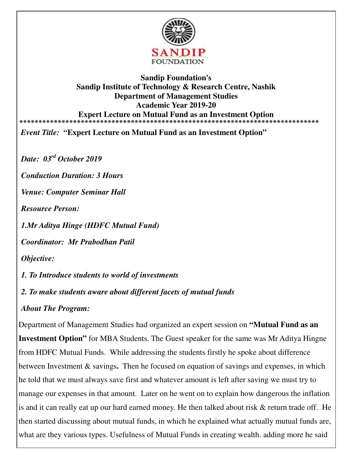

#### **Sandip Foundation's Sandip Institute of Technology & Research Centre, Nashik Department of Management Studies Academic Year 2019-20 Expert Lecture on Mutual Fund as an Investment Option \*\*\*\*\*\*\*\*\*\*\*\*\*\*\*\*\*\*\*\*\*\*\*\*\*\*\*\*\*\*\*\*\*\*\*\*\*\*\*\*\*\*\*\*\*\*\*\*\*\*\*\*\*\*\*\*\*\*\*\*\*\*\*\*\*\*\*\*\*\*\*\*\*\*\*\*\*\***

*Event Title: "***Expert Lecture on Mutual Fund as an Investment Option"**

*Date: 03rd October 2019* 

*Conduction Duration: 3 Hours* 

*Venue: Computer Seminar Hall* 

*Resource Person:* 

*1.Mr Aditya Hinge (HDFC Mutual Fund)* 

*Coordinator: Mr Prabodhan Patil* 

*Objective:* 

*1. To Introduce students to world of investments* 

*2. To make students aware about different facets of mutual funds* 

### *About The Program:*

Department of Management Studies had organized an expert session on **"Mutual Fund as an Investment Option"** for MBA Students. The Guest speaker for the same was Mr Aditya Hingne from HDFC Mutual Funds. While addressing the students firstly he spoke about difference between Investment & savings**.** Then he focused on equation of savings and expenses, in which he told that we must always save first and whatever amount is left after saving we must try to manage our expenses in that amount. Later on he went on to explain how dangerous the inflation is and it can really eat up our hard earned money. He then talked about risk & return trade off. He then started discussing about mutual funds, in which he explained what actually mutual funds are, what are they various types. Usefulness of Mutual Funds in creating wealth. adding more he said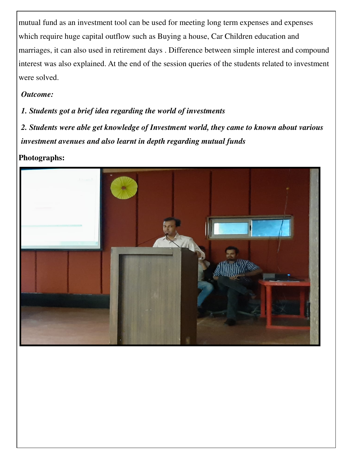mutual fund as an investment tool can be used for meeting long term expenses and expenses which require huge capital outflow such as Buying a house, Car Children education and marriages, it can also used in retirement days . Difference between simple interest and compound interest was also explained. At the end of the session queries of the students related to investment were solved.

### *Outcome:*

# *1. Students got a brief idea regarding the world of investments*

*2. Students were able get knowledge of Investment world, they came to known about various investment avenues and also learnt in depth regarding mutual funds* 

# **Photographs:**